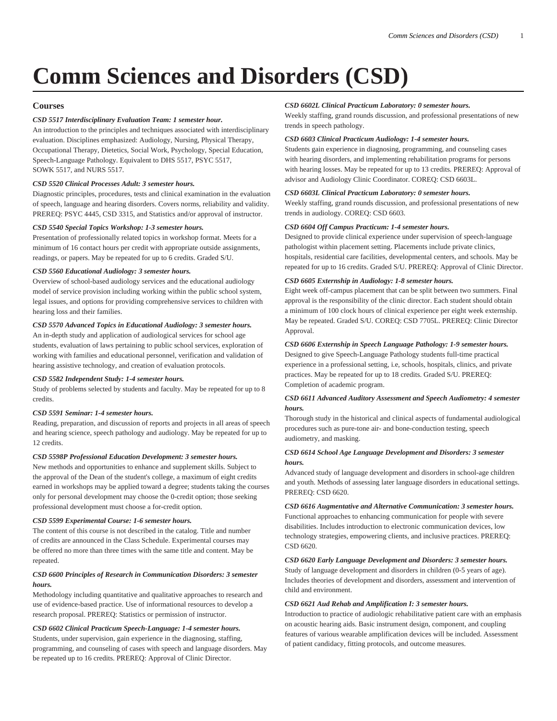# **Comm Sciences and Disorders (CSD)**

# **Courses**

# *CSD 5517 Interdisciplinary Evaluation Team: 1 semester hour.*

An introduction to the principles and techniques associated with interdisciplinary evaluation. Disciplines emphasized: Audiology, Nursing, Physical Therapy, Occupational Therapy, Dietetics, Social Work, Psychology, Special Education, Speech-Language Pathology. Equivalent to [DHS 5517,](/search/?P=DHS%205517) [PSYC 5517,](/search/?P=PSYC%205517) [SOWK 5517,](/search/?P=SOWK%205517) and [NURS 5517](/search/?P=NURS%205517).

# *CSD 5520 Clinical Processes Adult: 3 semester hours.*

Diagnostic principles, procedures, tests and clinical examination in the evaluation of speech, language and hearing disorders. Covers norms, reliability and validity. PREREQ: [PSYC 4445,](/search/?P=PSYC%204445) [CSD 3315](/search/?P=CSD%203315), and Statistics and/or approval of instructor.

# *CSD 5540 Special Topics Workshop: 1-3 semester hours.*

Presentation of professionally related topics in workshop format. Meets for a minimum of 16 contact hours per credit with appropriate outside assignments, readings, or papers. May be repeated for up to 6 credits. Graded S/U.

# *CSD 5560 Educational Audiology: 3 semester hours.*

Overview of school-based audiology services and the educational audiology model of service provision including working within the public school system, legal issues, and options for providing comprehensive services to children with hearing loss and their families.

# *CSD 5570 Advanced Topics in Educational Audiology: 3 semester hours.*

An in-depth study and application of audiological services for school age students, evaluation of laws pertaining to public school services, exploration of working with families and educational personnel, verification and validation of hearing assistive technology, and creation of evaluation protocols.

## *CSD 5582 Independent Study: 1-4 semester hours.*

Study of problems selected by students and faculty. May be repeated for up to 8 credits.

## *CSD 5591 Seminar: 1-4 semester hours.*

Reading, preparation, and discussion of reports and projects in all areas of speech and hearing science, speech pathology and audiology. May be repeated for up to 12 credits.

# *CSD 5598P Professional Education Development: 3 semester hours.*

New methods and opportunities to enhance and supplement skills. Subject to the approval of the Dean of the student's college, a maximum of eight credits earned in workshops may be applied toward a degree; students taking the courses only for personal development may choose the 0-credit option; those seeking professional development must choose a for-credit option.

## *CSD 5599 Experimental Course: 1-6 semester hours.*

The content of this course is not described in the catalog. Title and number of credits are announced in the Class Schedule. Experimental courses may be offered no more than three times with the same title and content. May be repeated.

# *CSD 6600 Principles of Research in Communication Disorders: 3 semester hours.*

Methodology including quantitative and qualitative approaches to research and use of evidence-based practice. Use of informational resources to develop a research proposal. PREREQ: Statistics or permission of instructor.

## *CSD 6602 Clinical Practicum Speech-Language: 1-4 semester hours.*

Students, under supervision, gain experience in the diagnosing, staffing, programming, and counseling of cases with speech and language disorders. May be repeated up to 16 credits. PREREQ: Approval of Clinic Director.

# *CSD 6602L Clinical Practicum Laboratory: 0 semester hours.*

Weekly staffing, grand rounds discussion, and professional presentations of new trends in speech pathology.

## *CSD 6603 Clinical Practicum Audiology: 1-4 semester hours.*

Students gain experience in diagnosing, programming, and counseling cases with hearing disorders, and implementing rehabilitation programs for persons with hearing losses. May be repeated for up to 13 credits. PREREQ: Approval of advisor and Audiology Clinic Coordinator. COREQ: [CSD 6603L.](/search/?P=CSD%206603L)

# *CSD 6603L Clinical Practicum Laboratory: 0 semester hours.*

Weekly staffing, grand rounds discussion, and professional presentations of new trends in audiology. COREQ: [CSD 6603.](/search/?P=CSD%206603)

## *CSD 6604 Off Campus Practicum: 1-4 semester hours.*

Designed to provide clinical experience under supervision of speech-language pathologist within placement setting. Placements include private clinics, hospitals, residential care facilities, developmental centers, and schools. May be repeated for up to 16 credits. Graded S/U. PREREQ: Approval of Clinic Director.

# *CSD 6605 Externship in Audiology: 1-8 semester hours.*

Eight week off-campus placement that can be split between two summers. Final approval is the responsibility of the clinic director. Each student should obtain a minimum of 100 clock hours of clinical experience per eight week externship. May be repeated. Graded S/U. COREQ: [CSD 7705L](/search/?P=CSD%207705L). PREREQ: Clinic Director Approval.

# *CSD 6606 Externship in Speech Language Pathology: 1-9 semester hours.*

Designed to give Speech-Language Pathology students full-time practical experience in a professional setting, i.e, schools, hospitals, clinics, and private practices. May be repeated for up to 18 credits. Graded S/U. PREREQ: Completion of academic program.

# *CSD 6611 Advanced Auditory Assessment and Speech Audiometry: 4 semester hours.*

Thorough study in the historical and clinical aspects of fundamental audiological procedures such as pure-tone air- and bone-conduction testing, speech audiometry, and masking.

# *CSD 6614 School Age Language Development and Disorders: 3 semester hours.*

Advanced study of language development and disorders in school-age children and youth. Methods of assessing later language disorders in educational settings. PREREQ: [CSD 6620.](/search/?P=CSD%206620)

*CSD 6616 Augmentative and Alternative Communication: 3 semester hours.* Functional approaches to enhancing communication for people with severe disabilities. Includes introduction to electronic communication devices, low technology strategies, empowering clients, and inclusive practices. PREREQ: [CSD 6620.](/search/?P=CSD%206620)

*CSD 6620 Early Language Development and Disorders: 3 semester hours.* Study of language development and disorders in children (0-5 years of age). Includes theories of development and disorders, assessment and intervention of child and environment.

## *CSD 6621 Aud Rehab and Amplification I: 3 semester hours.*

Introduction to practice of audiologic rehabilitative patient care with an emphasis on acoustic hearing aids. Basic instrument design, component, and coupling features of various wearable amplification devices will be included. Assessment of patient candidacy, fitting protocols, and outcome measures.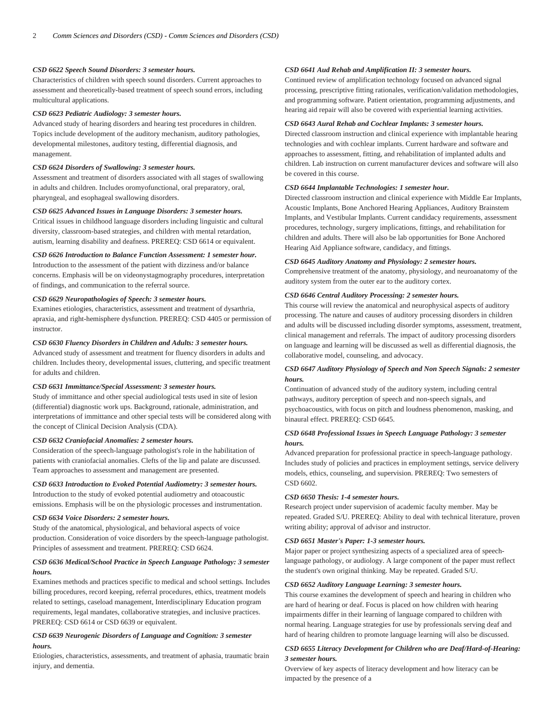## *CSD 6622 Speech Sound Disorders: 3 semester hours.*

Characteristics of children with speech sound disorders. Current approaches to assessment and theoretically-based treatment of speech sound errors, including multicultural applications.

#### *CSD 6623 Pediatric Audiology: 3 semester hours.*

Advanced study of hearing disorders and hearing test procedures in children. Topics include development of the auditory mechanism, auditory pathologies, developmental milestones, auditory testing, differential diagnosis, and management.

#### *CSD 6624 Disorders of Swallowing: 3 semester hours.*

Assessment and treatment of disorders associated with all stages of swallowing in adults and children. Includes oromyofunctional, oral preparatory, oral, pharyngeal, and esophageal swallowing disorders.

# *CSD 6625 Advanced Issues in Language Disorders: 3 semester hours.*

Critical issues in childhood language disorders including linguistic and cultural diversity, classroom-based strategies, and children with mental retardation, autism, learning disability and deafness. PREREQ: [CSD 6614](/search/?P=CSD%206614) or equivalent.

*CSD 6626 Introduction to Balance Function Assessment: 1 semester hour.*

Introduction to the assessment of the patient with dizziness and/or balance concerns. Emphasis will be on videonystagmography procedures, interpretation of findings, and communication to the referral source.

# *CSD 6629 Neuropathologies of Speech: 3 semester hours.*

Examines etiologies, characteristics, assessment and treatment of dysarthria, apraxia, and right-hemisphere dysfunction. PREREQ: [CSD 4405](/search/?P=CSD%204405) or permission of instructor.

#### *CSD 6630 Fluency Disorders in Children and Adults: 3 semester hours.*

Advanced study of assessment and treatment for fluency disorders in adults and children. Includes theory, developmental issues, cluttering, and specific treatment for adults and children.

#### *CSD 6631 Immittance/Special Assessment: 3 semester hours.*

Study of immittance and other special audiological tests used in site of lesion (differential) diagnostic work ups. Background, rationale, administration, and interpretations of immittance and other special tests will be considered along with the concept of Clinical Decision Analysis (CDA).

#### *CSD 6632 Craniofacial Anomalies: 2 semester hours.*

Consideration of the speech-language pathologist's role in the habilitation of patients with craniofacial anomalies. Clefts of the lip and palate are discussed. Team approaches to assessment and management are presented.

# *CSD 6633 Introduction to Evoked Potential Audiometry: 3 semester hours.*

Introduction to the study of evoked potential audiometry and otoacoustic emissions. Emphasis will be on the physiologic processes and instrumentation.

#### *CSD 6634 Voice Disorders: 2 semester hours.*

Study of the anatomical, physiological, and behavioral aspects of voice production. Consideration of voice disorders by the speech-language pathologist. Principles of assessment and treatment. PREREQ: [CSD 6624](/search/?P=CSD%206624).

# *CSD 6636 Medical/School Practice in Speech Language Pathology: 3 semester hours.*

Examines methods and practices specific to medical and school settings. Includes billing procedures, record keeping, referral procedures, ethics, treatment models related to settings, caseload management, Interdisciplinary Education program requirements, legal mandates, collaborative strategies, and inclusive practices. PREREQ: [CSD 6614](/search/?P=CSD%206614) or [CSD 6639](/search/?P=CSD%206639) or equivalent.

# *CSD 6639 Neurogenic Disorders of Language and Cognition: 3 semester hours.*

Etiologies, characteristics, assessments, and treatment of aphasia, traumatic brain injury, and dementia.

# *CSD 6641 Aud Rehab and Amplification II: 3 semester hours.*

Continued review of amplification technology focused on advanced signal processing, prescriptive fitting rationales, verification/validation methodologies, and programming software. Patient orientation, programming adjustments, and hearing aid repair will also be covered with experiential learning activities.

# *CSD 6643 Aural Rehab and Cochlear Implants: 3 semester hours.*

Directed classroom instruction and clinical experience with implantable hearing technologies and with cochlear implants. Current hardware and software and approaches to assessment, fitting, and rehabilitation of implanted adults and children. Lab instruction on current manufacturer devices and software will also be covered in this course.

## *CSD 6644 Implantable Technologies: 1 semester hour.*

Directed classroom instruction and clinical experience with Middle Ear Implants, Acoustic Implants, Bone Anchored Hearing Appliances, Auditory Brainstem Implants, and Vestibular Implants. Current candidacy requirements, assessment procedures, technology, surgery implications, fittings, and rehabilitation for children and adults. There will also be lab opportunities for Bone Anchored Hearing Aid Appliance software, candidacy, and fittings.

#### *CSD 6645 Auditory Anatomy and Physiology: 2 semester hours.*

Comprehensive treatment of the anatomy, physiology, and neuroanatomy of the auditory system from the outer ear to the auditory cortex.

# *CSD 6646 Central Auditory Processing: 2 semester hours.*

This course will review the anatomical and neurophysical aspects of auditory processing. The nature and causes of auditory processing disorders in children and adults will be discussed including disorder symptoms, assessment, treatment, clinical management and referrals. The impact of auditory processing disorders on language and learning will be discussed as well as differential diagnosis, the collaborative model, counseling, and advocacy.

# *CSD 6647 Auditory Physiology of Speech and Non Speech Signals: 2 semester hours.*

Continuation of advanced study of the auditory system, including central pathways, auditory perception of speech and non-speech signals, and psychoacoustics, with focus on pitch and loudness phenomenon, masking, and binaural effect. PREREQ: [CSD 6645](/search/?P=CSD%206645).

# *CSD 6648 Professional Issues in Speech Language Pathology: 3 semester hours.*

Advanced preparation for professional practice in speech-language pathology. Includes study of policies and practices in employment settings, service delivery models, ethics, counseling, and supervision. PREREQ: Two semesters of [CSD 6602.](/search/?P=CSD%206602)

# *CSD 6650 Thesis: 1-4 semester hours.*

Research project under supervision of academic faculty member. May be repeated. Graded S/U. PREREQ: Ability to deal with technical literature, proven writing ability; approval of advisor and instructor.

# *CSD 6651 Master's Paper: 1-3 semester hours.*

Major paper or project synthesizing aspects of a specialized area of speechlanguage pathology, or audiology. A large component of the paper must reflect the student's own original thinking. May be repeated. Graded S/U.

#### *CSD 6652 Auditory Language Learning: 3 semester hours.*

This course examines the development of speech and hearing in children who are hard of hearing or deaf. Focus is placed on how children with hearing impairments differ in their learning of language compared to children with normal hearing. Language strategies for use by professionals serving deaf and hard of hearing children to promote language learning will also be discussed.

# *CSD 6655 Literacy Development for Children who are Deaf/Hard-of-Hearing: 3 semester hours.*

Overview of key aspects of literacy development and how literacy can be impacted by the presence of a